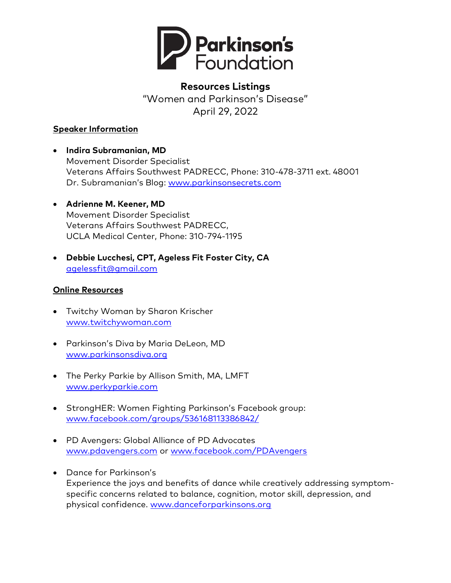

# **Resources Listings**  "Women and Parkinson's Disease" April 29, 2022

### **Speaker Information**

- **Indira Subramanian, MD** Movement Disorder Specialist Veterans Affairs Southwest PADRECC, Phone: 310-478-3711 ext. 48001 Dr. Subramanian's Blog: [www.parkinsonsecrets.com](http://www.parkinsonsecrets.com/)
- **Adrienne M. Keener, MD** Movement Disorder Specialist Veterans Affairs Southwest PADRECC, UCLA Medical Center, Phone: 310-794-1195
- **Debbie Lucchesi, CPT, Ageless Fit Foster City, CA** [agelessfit@gmail.com](mailto:agelessfit@gmail.com)

# **Online Resources**

- Twitchy Woman by Sharon Krischer [www.twitchywoman.com](http://www.twitchywoman.com/)
- Parkinson's Diva by Maria DeLeon, MD [www.parkinsonsdiva.org](http://www.parkinsonsdiva.org/)
- The Perky Parkie by Allison Smith, MA, LMFT [www.perkyparkie.com](http://www.perkyparkie.com/)
- StrongHER: Women Fighting Parkinson's Facebook group: [www.facebook.com/groups/536168113386842/](http://www.facebook.com/groups/536168113386842/)
- PD Avengers: Global Alliance of PD Advocates [www.pdavengers.com](http://www.pdavengers.com/) or [www.facebook.com/PDAvengers](http://www.facebook.com/PDAvengers)
- Dance for Parkinson's Experience the joys and benefits of dance while creatively addressing symptomspecific concerns related to balance, cognition, motor skill, depression, and physical confidence. [www.danceforparkinsons.org](http://www.danceforparkinsons.org/)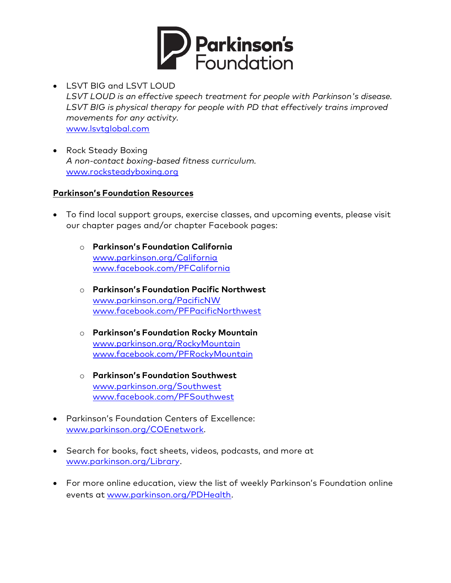

- LSVT BIG and LSVT LOUD *LSVT LOUD is an effective speech treatment for people with Parkinson's disease. LSVT BIG is physical therapy for people with PD that effectively trains improved movements for any activity.* [www.lsvtglobal.com](http://www.lsvtglobal.com/)
- Rock Steady Boxing *A non-contact boxing-based fitness curriculum.* [www.rocksteadyboxing.org](http://www.rocksteadyboxing.org/)

#### **Parkinson's Foundation Resources**

- To find local support groups, exercise classes, and upcoming events, please visit our chapter pages and/or chapter Facebook pages:
	- o **Parkinson's Foundation California** [www.parkinson.org/California](http://www.parkinson.org/California) [www.facebook.com/PFCalifornia](http://www.facebook.com/PFCalifornia)
	- o **Parkinson's Foundation Pacific Northwest** [www.parkinson.org/PacificNW](http://www.parkinson.org/PacificNW)  [www.facebook.com/PFPacificNorthwest](http://www.facebook.com/PFPacificNorthwest)
	- o **Parkinson's Foundation Rocky Mountain** [www.parkinson.org/RockyMountain](http://www.parkinson.org/RockyMountain)  [www.facebook.com/PFRockyMountain](http://www.facebook.com/PFRockyMountain)
	- o **Parkinson's Foundation Southwest** [www.parkinson.org/Southwest](http://www.parkinson.org/Southwest)  [www.facebook.com/PFSouthwest](http://www.facebook.com/PFSouthwest)
- Parkinson's Foundation Centers of Excellence: [www.parkinson.org/COEnetwork.](http://www.parkinson.org/COEnetwork)
- Search for books, fact sheets, videos, podcasts, and more at [www.parkinson.org/Library.](http://www.parkinson.org/Library)
- For more online education, view the list of weekly Parkinson's Foundation online events at [www.parkinson.org/PDHealth.](http://www.parkinson.org/PDHealth)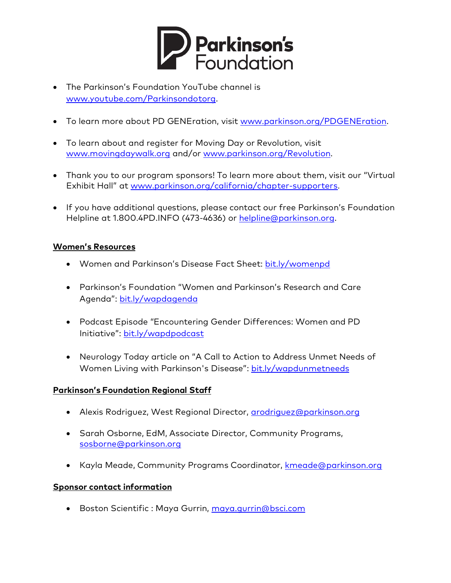

- The Parkinson's Foundation YouTube channel is [www.youtube.com/Parkinsondotorg.](http://www.youtube.com/Parkinsondotorg)
- To learn more about PD GENEration, visit [www.parkinson.org/PDGENEration.](https://www.parkinson.org/PDGENEration)
- To learn about and register for Moving Day or Revolution, visit [www.movingdaywalk.org](http://www.movingdaywalk.org/) and/or [www.parkinson.org/Revolution.](http://www.parkinson.org/Revolution)
- Thank you to our program sponsors! To learn more about them, visit our "Virtual Exhibit Hall" at [www.parkinson.org/california/chapter-supporters](https://www.parkinson.org/california/chapter-supporters).
- If you have additional questions, please contact our free Parkinson's Foundation Helpline at 1.800.4PD.INFO (473-4636) or [helpline@parkinson.org.](mailto:helpline@parkinson.org)

# **Women's Resources**

- Women and Parkinson's Disease Fact Sheet: bit.ly/womenpd
- Parkinson's Foundation "Women and Parkinson's Research and Care Agenda": bit.ly/wapdagenda
- Podcast Episode "Encountering Gender Differences: Women and PD Initiative": [bit.ly/wapdpodcast](https://bit.ly/wapdpodcast)
- Neurology Today article on "A Call to Action to Address Unmet Needs of Women Living with Parkinson's Disease": [bit.ly/wapdunmetneeds](https://bit.ly/wapdunmetneeds)

#### **Parkinson's Foundation Regional Staff**

- Alexis Rodriguez, West Regional Director, [arodriguez@parkinson.org](mailto:arodriguez@parkinson.org)
- Sarah Osborne, EdM, Associate Director, Community Programs, [sosborne@parkinson.org](mailto:sosborne@parkinson.org)
- Kayla Meade, Community Programs Coordinator, kmeade@parkinson.org

#### **Sponsor contact information**

• Boston Scientific : Maya Gurrin, [maya.gurrin@bsci.com](mailto:maya.gurrin@bsci.com)